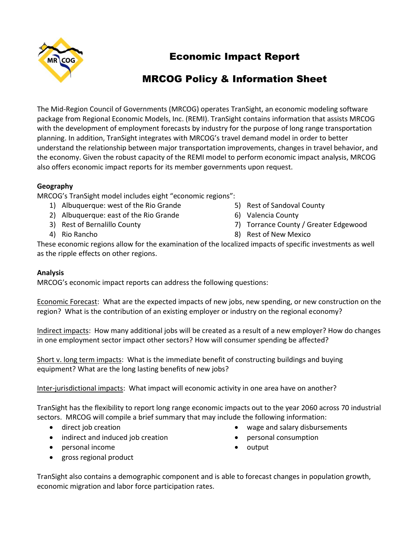

## Economic Impact Report

# MRCOG Policy & Information Sheet

The Mid-Region Council of Governments (MRCOG) operates TranSight, an economic modeling software package from Regional Economic Models, Inc. (REMI). TranSight contains information that assists MRCOG with the development of employment forecasts by industry for the purpose of long range transportation planning. In addition, TranSight integrates with MRCOG's travel demand model in order to better understand the relationship between major transportation improvements, changes in travel behavior, and the economy. Given the robust capacity of the REMI model to perform economic impact analysis, MRCOG also offers economic impact reports for its member governments upon request.

## **Geography**

MRCOG's TranSight model includes eight "economic regions":

- 1) Albuquerque: west of the Rio Grande
- 2) Albuquerque: east of the Rio Grande
- 3) Rest of Bernalillo County
- 4) Rio Rancho
- 5) Rest of Sandoval County
- 6) Valencia County
- 7) Torrance County / Greater Edgewood
- 8) Rest of New Mexico

These economic regions allow for the examination of the localized impacts of specific investments as well as the ripple effects on other regions.

## **Analysis**

MRCOG's economic impact reports can address the following questions:

Economic Forecast: What are the expected impacts of new jobs, new spending, or new construction on the region? What is the contribution of an existing employer or industry on the regional economy?

Indirect impacts: How many additional jobs will be created as a result of a new employer? How do changes in one employment sector impact other sectors? How will consumer spending be affected?

Short v. long term impacts: What is the immediate benefit of constructing buildings and buying equipment? What are the long lasting benefits of new jobs?

Inter-jurisdictional impacts: What impact will economic activity in one area have on another?

TranSight has the flexibility to report long range economic impacts out to the year 2060 across 70 industrial sectors. MRCOG will compile a brief summary that may include the following information:

- direct job creation
- indirect and induced job creation
- personal income
- gross regional product

TranSight also contains a demographic component and is able to forecast changes in population growth, economic migration and labor force participation rates.

- wage and salary disbursements
- personal consumption
- output